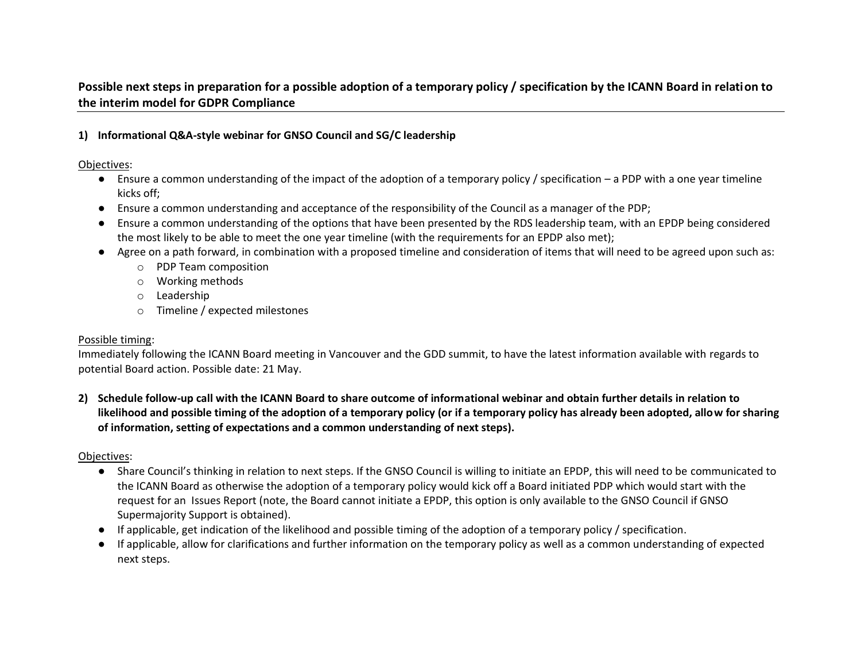# **Possible next steps in preparation for a possible adoption of a temporary policy / specification by the ICANN Board in relation to the interim model for GDPR Compliance**

### **1) Informational Q&A-style webinar for GNSO Council and SG/C leadership**

Objectives:

- Ensure a common understanding of the impact of the adoption of a temporary policy / specification a PDP with a one year timeline kicks off;
- Ensure a common understanding and acceptance of the responsibility of the Council as a manager of the PDP;
- Ensure a common understanding of the options that have been presented by the RDS leadership team, with an EPDP being considered the most likely to be able to meet the one year timeline (with the requirements for an EPDP also met);
- Agree on a path forward, in combination with a proposed timeline and consideration of items that will need to be agreed upon such as:
	- o PDP Team composition
	- o Working methods
	- o Leadership
	- o Timeline / expected milestones

### Possible timing:

Immediately following the ICANN Board meeting in Vancouver and the GDD summit, to have the latest information available with regards to potential Board action. Possible date: 21 May.

**2) Schedule follow-up call with the ICANN Board to share outcome of informational webinar and obtain further details in relation to likelihood and possible timing of the adoption of a temporary policy (or if a temporary policy has already been adopted, allow for sharing of information, setting of expectations and a common understanding of next steps).**

Objectives:

- Share Council's thinking in relation to next steps. If the GNSO Council is willing to initiate an EPDP, this will need to be communicated to the ICANN Board as otherwise the adoption of a temporary policy would kick off a Board initiated PDP which would start with the request for an Issues Report (note, the Board cannot initiate a EPDP, this option is only available to the GNSO Council if GNSO Supermajority Support is obtained).
- If applicable, get indication of the likelihood and possible timing of the adoption of a temporary policy / specification.
- If applicable, allow for clarifications and further information on the temporary policy as well as a common understanding of expected next steps.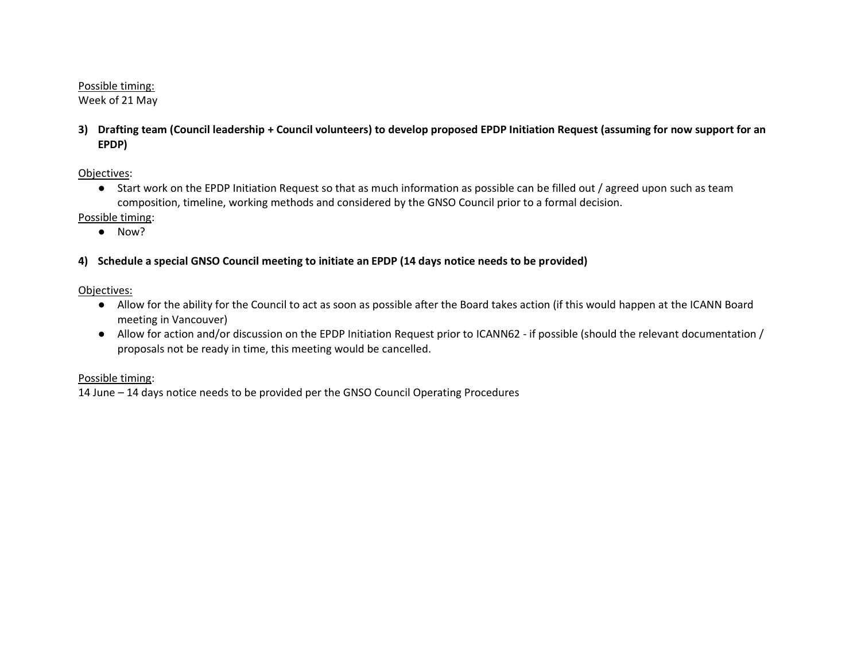### Possible timing:

Week of 21 May

**3) Drafting team (Council leadership + Council volunteers) to develop proposed EPDP Initiation Request (assuming for now support for an EPDP)**

# Objectives:

● Start work on the EPDP Initiation Request so that as much information as possible can be filled out / agreed upon such as team composition, timeline, working methods and considered by the GNSO Council prior to a formal decision.

# Possible timing:

● Now?

# **4) Schedule a special GNSO Council meeting to initiate an EPDP (14 days notice needs to be provided)**

Objectives:

- Allow for the ability for the Council to act as soon as possible after the Board takes action (if this would happen at the ICANN Board meeting in Vancouver)
- Allow for action and/or discussion on the EPDP Initiation Request prior to ICANN62 if possible (should the relevant documentation / proposals not be ready in time, this meeting would be cancelled.

## Possible timing:

14 June – 14 days notice needs to be provided per the GNSO Council Operating Procedures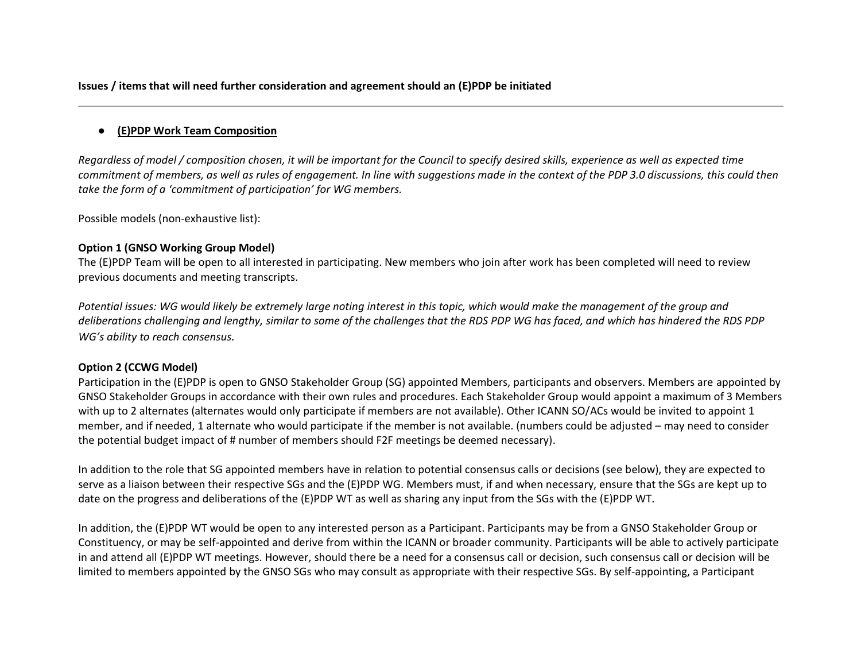**Issues / items that will need further consideration and agreement should an (E)PDP be initiated**

### ● **(E)PDP Work Team Composition**

*Regardless of model / composition chosen, it will be important for the Council to specify desired skills, experience as well as expected time commitment of members, as well as rules of engagement. In line with suggestions made in the context of the PDP 3.0 discussions, this could then take the form of a 'commitment of participation' for WG members.* 

Possible models (non-exhaustive list):

#### **Option 1 (GNSO Working Group Model)**

The (E)PDP Team will be open to all interested in participating. New members who join after work has been completed will need to review previous documents and meeting transcripts.

*Potential issues: WG would likely be extremely large noting interest in this topic, which would make the management of the group and deliberations challenging and lengthy, similar to some of the challenges that the RDS PDP WG has faced, and which has hindered the RDS PDP WG's ability to reach consensus.*

### **Option 2 (CCWG Model)**

Participation in the (E)PDP is open to GNSO Stakeholder Group (SG) appointed Members, participants and observers. Members are appointed by GNSO Stakeholder Groups in accordance with their own rules and procedures. Each Stakeholder Group would appoint a maximum of 3 Members with up to 2 alternates (alternates would only participate if members are not available). Other ICANN SO/ACs would be invited to appoint 1 member, and if needed, 1 alternate who would participate if the member is not available. (numbers could be adjusted – may need to consider the potential budget impact of # number of members should F2F meetings be deemed necessary).

In addition to the role that SG appointed members have in relation to potential consensus calls or decisions (see below), they are expected to serve as a liaison between their respective SGs and the (E)PDP WG. Members must, if and when necessary, ensure that the SGs are kept up to date on the progress and deliberations of the (E)PDP WT as well as sharing any input from the SGs with the (E)PDP WT.

In addition, the (E)PDP WT would be open to any interested person as a Participant. Participants may be from a GNSO Stakeholder Group or Constituency, or may be self-appointed and derive from within the ICANN or broader community. Participants will be able to actively participate in and attend all (E)PDP WT meetings. However, should there be a need for a consensus call or decision, such consensus call or decision will be limited to members appointed by the GNSO SGs who may consult as appropriate with their respective SGs. By self-appointing, a Participant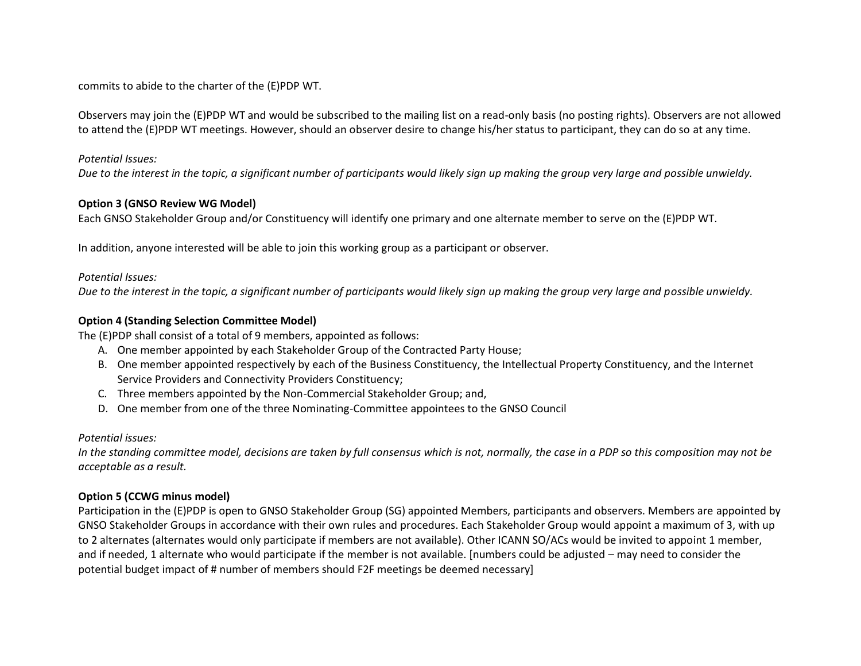commits to abide to the charter of the (E)PDP WT.

Observers may join the (E)PDP WT and would be subscribed to the mailing list on a read-only basis (no posting rights). Observers are not allowed to attend the (E)PDP WT meetings. However, should an observer desire to change his/her status to participant, they can do so at any time.

#### *Potential Issues:*

*Due to the interest in the topic, a significant number of participants would likely sign up making the group very large and possible unwieldy.* 

### **Option 3 (GNSO Review WG Model)**

Each GNSO Stakeholder Group and/or Constituency will identify one primary and one alternate member to serve on the (E)PDP WT.

In addition, anyone interested will be able to join this working group as a participant or observer.

#### *Potential Issues:*

*Due to the interest in the topic, a significant number of participants would likely sign up making the group very large and possible unwieldy.* 

#### **Option 4 (Standing Selection Committee Model)**

The (E)PDP shall consist of a total of 9 members, appointed as follows:

- A. One member appointed by each Stakeholder Group of the Contracted Party House;
- B. One member appointed respectively by each of the Business Constituency, the Intellectual Property Constituency, and the Internet Service Providers and Connectivity Providers Constituency;
- C. Three members appointed by the Non-Commercial Stakeholder Group; and,
- D. One member from one of the three Nominating-Committee appointees to the GNSO Council

#### *Potential issues:*

*In the standing committee model, decisions are taken by full consensus which is not, normally, the case in a PDP so this composition may not be acceptable as a result.*

### **Option 5 (CCWG minus model)**

Participation in the (E)PDP is open to GNSO Stakeholder Group (SG) appointed Members, participants and observers. Members are appointed by GNSO Stakeholder Groups in accordance with their own rules and procedures. Each Stakeholder Group would appoint a maximum of 3, with up to 2 alternates (alternates would only participate if members are not available). Other ICANN SO/ACs would be invited to appoint 1 member, and if needed, 1 alternate who would participate if the member is not available. [numbers could be adjusted – may need to consider the potential budget impact of # number of members should F2F meetings be deemed necessary]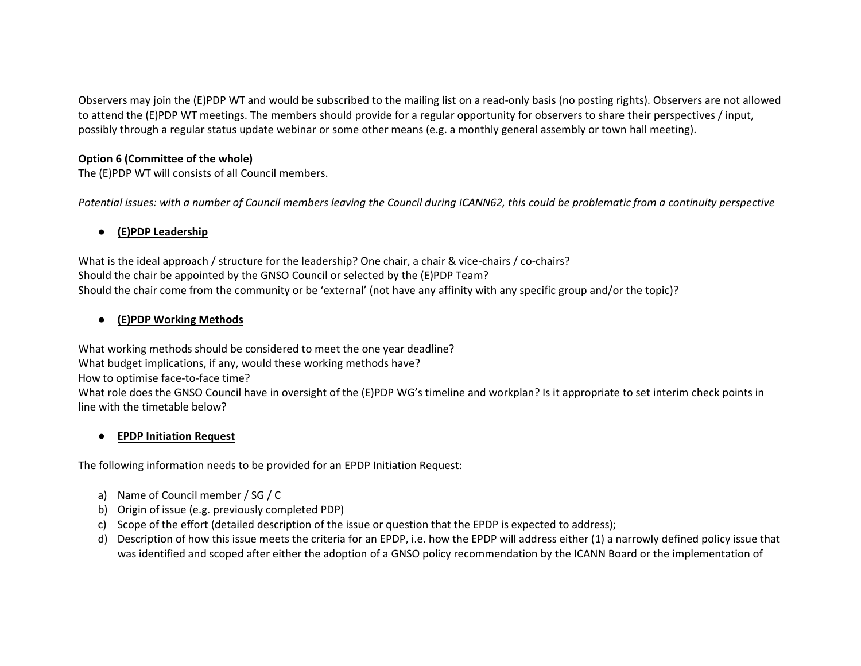Observers may join the (E)PDP WT and would be subscribed to the mailing list on a read-only basis (no posting rights). Observers are not allowed to attend the (E)PDP WT meetings. The members should provide for a regular opportunity for observers to share their perspectives / input, possibly through a regular status update webinar or some other means (e.g. a monthly general assembly or town hall meeting).

### **Option 6 (Committee of the whole)**

The (E)PDP WT will consists of all Council members.

Potential issues: with a number of Council members leaving the Council during ICANN62, this could be problematic from a continuity perspective

# ● **(E)PDP Leadership**

What is the ideal approach / structure for the leadership? One chair, a chair & vice-chairs / co-chairs? Should the chair be appointed by the GNSO Council or selected by the (E)PDP Team? Should the chair come from the community or be 'external' (not have any affinity with any specific group and/or the topic)?

# ● **(E)PDP Working Methods**

What working methods should be considered to meet the one year deadline? What budget implications, if any, would these working methods have? How to optimise face-to-face time? What role does the GNSO Council have in oversight of the (E)PDP WG's timeline and workplan? Is it appropriate to set interim check points in line with the timetable below?

## ● **EPDP Initiation Request**

The following information needs to be provided for an EPDP Initiation Request:

- a) Name of Council member / SG / C
- b) Origin of issue (e.g. previously completed PDP)
- c) Scope of the effort (detailed description of the issue or question that the EPDP is expected to address);
- d) Description of how this issue meets the criteria for an EPDP, i.e. how the EPDP will address either (1) a narrowly defined policy issue that was identified and scoped after either the adoption of a GNSO policy recommendation by the ICANN Board or the implementation of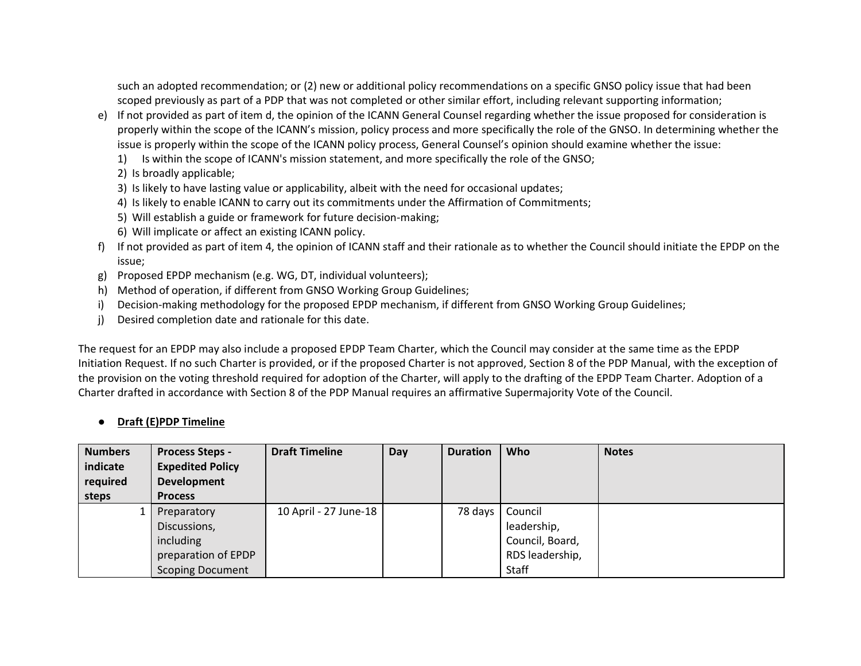such an adopted recommendation; or (2) new or additional policy recommendations on a specific GNSO policy issue that had been scoped previously as part of a PDP that was not completed or other similar effort, including relevant supporting information;

- e) If not provided as part of item d, the opinion of the ICANN General Counsel regarding whether the issue proposed for consideration is properly within the scope of the ICANN's mission, policy process and more specifically the role of the GNSO. In determining whether the issue is properly within the scope of the ICANN policy process, General Counsel's opinion should examine whether the issue:
	- 1) Is within the scope of ICANN's mission statement, and more specifically the role of the GNSO;
	- 2) Is broadly applicable;
	- 3) Is likely to have lasting value or applicability, albeit with the need for occasional updates;
	- 4) Is likely to enable ICANN to carry out its commitments under the Affirmation of Commitments;
	- 5) Will establish a guide or framework for future decision-making;
	- 6) Will implicate or affect an existing ICANN policy.
- f) If not provided as part of item 4, the opinion of ICANN staff and their rationale as to whether the Council should initiate the EPDP on the issue;
- g) Proposed EPDP mechanism (e.g. WG, DT, individual volunteers);
- h) Method of operation, if different from GNSO Working Group Guidelines;
- i) Decision-making methodology for the proposed EPDP mechanism, if different from GNSO Working Group Guidelines;
- j) Desired completion date and rationale for this date.

The request for an EPDP may also include a proposed EPDP Team Charter, which the Council may consider at the same time as the EPDP Initiation Request. If no such Charter is provided, or if the proposed Charter is not approved, Section 8 of the PDP Manual, with the exception of the provision on the voting threshold required for adoption of the Charter, will apply to the drafting of the EPDP Team Charter. Adoption of a Charter drafted in accordance with Section 8 of the PDP Manual requires an affirmative Supermajority Vote of the Council.

# ● **Draft (E)PDP Timeline**

| <b>Numbers</b><br>indicate<br>required<br>steps | <b>Process Steps -</b><br><b>Expedited Policy</b><br><b>Development</b><br><b>Process</b> | <b>Draft Timeline</b> | Day | <b>Duration</b> | Who             | <b>Notes</b> |
|-------------------------------------------------|-------------------------------------------------------------------------------------------|-----------------------|-----|-----------------|-----------------|--------------|
|                                                 | Preparatory                                                                               | 10 April - 27 June-18 |     | 78 days         | Council         |              |
|                                                 | Discussions,                                                                              |                       |     |                 | leadership,     |              |
|                                                 | including                                                                                 |                       |     |                 | Council, Board, |              |
|                                                 | preparation of EPDP                                                                       |                       |     |                 | RDS leadership, |              |
|                                                 | <b>Scoping Document</b>                                                                   |                       |     |                 | Staff           |              |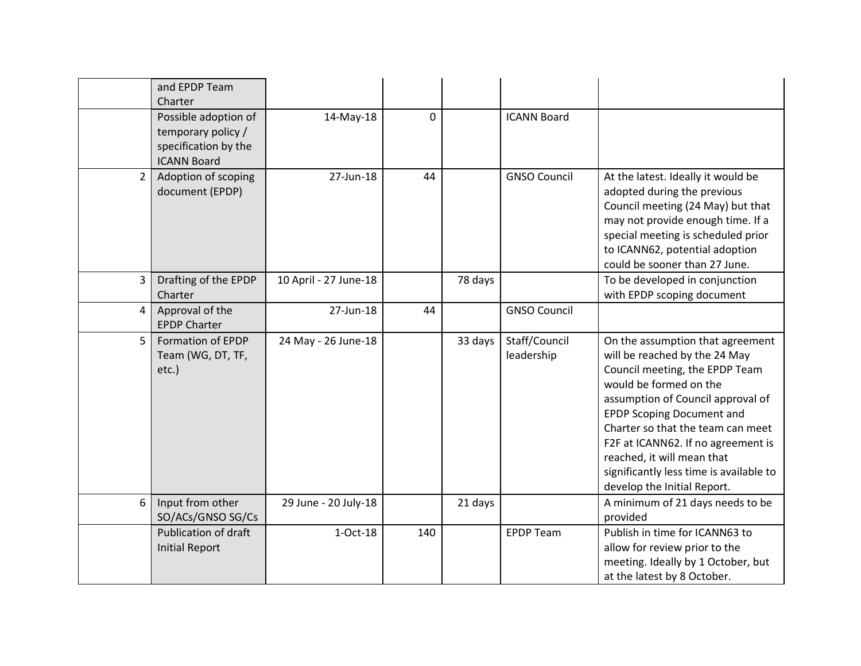|             | and EPDP Team<br>Charter                                                                 |                       |     |         |                             |                                                                                                                                                                                                                                                                                                                                                                                           |
|-------------|------------------------------------------------------------------------------------------|-----------------------|-----|---------|-----------------------------|-------------------------------------------------------------------------------------------------------------------------------------------------------------------------------------------------------------------------------------------------------------------------------------------------------------------------------------------------------------------------------------------|
|             | Possible adoption of<br>temporary policy /<br>specification by the<br><b>ICANN Board</b> | 14-May-18             | 0   |         | <b>ICANN Board</b>          |                                                                                                                                                                                                                                                                                                                                                                                           |
| $2^{\circ}$ | Adoption of scoping<br>document (EPDP)                                                   | 27-Jun-18             | 44  |         | <b>GNSO Council</b>         | At the latest. Ideally it would be<br>adopted during the previous<br>Council meeting (24 May) but that<br>may not provide enough time. If a<br>special meeting is scheduled prior<br>to ICANN62, potential adoption<br>could be sooner than 27 June.                                                                                                                                      |
| 3           | Drafting of the EPDP<br>Charter                                                          | 10 April - 27 June-18 |     | 78 days |                             | To be developed in conjunction<br>with EPDP scoping document                                                                                                                                                                                                                                                                                                                              |
| 4           | Approval of the<br><b>EPDP Charter</b>                                                   | 27-Jun-18             | 44  |         | <b>GNSO Council</b>         |                                                                                                                                                                                                                                                                                                                                                                                           |
| 5           | Formation of EPDP<br>Team (WG, DT, TF,<br>etc.)                                          | 24 May - 26 June-18   |     | 33 days | Staff/Council<br>leadership | On the assumption that agreement<br>will be reached by the 24 May<br>Council meeting, the EPDP Team<br>would be formed on the<br>assumption of Council approval of<br><b>EPDP Scoping Document and</b><br>Charter so that the team can meet<br>F2F at ICANN62. If no agreement is<br>reached, it will mean that<br>significantly less time is available to<br>develop the Initial Report. |
| 6           | Input from other<br>SO/ACs/GNSO SG/Cs                                                    | 29 June - 20 July-18  |     | 21 days |                             | A minimum of 21 days needs to be<br>provided                                                                                                                                                                                                                                                                                                                                              |
|             | <b>Publication of draft</b><br><b>Initial Report</b>                                     | $1-Oct-18$            | 140 |         | <b>EPDP Team</b>            | Publish in time for ICANN63 to<br>allow for review prior to the<br>meeting. Ideally by 1 October, but<br>at the latest by 8 October.                                                                                                                                                                                                                                                      |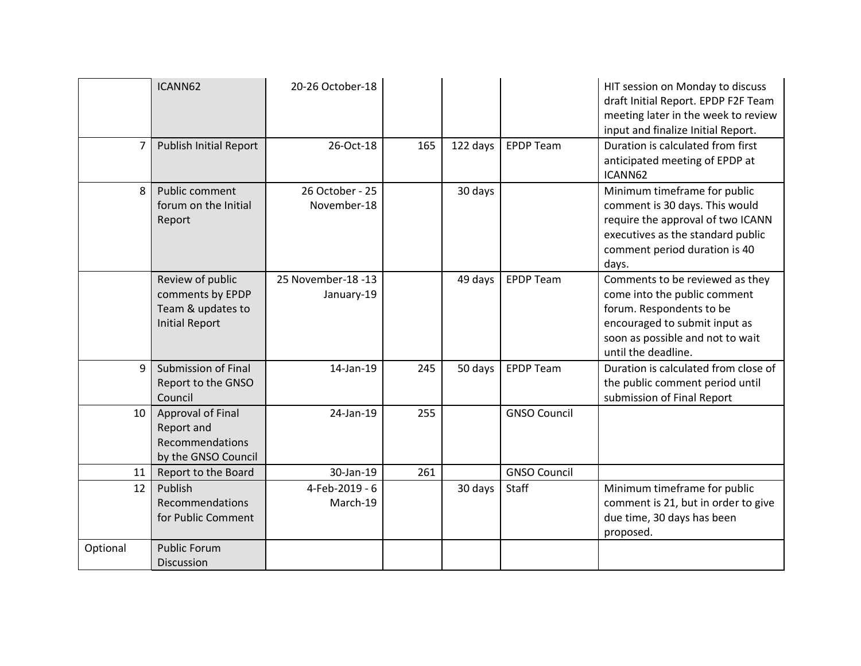| 7        | ICANN62<br><b>Publish Initial Report</b>                                           | 20-26 October-18<br>26-Oct-18    | 165 | 122 days | <b>EPDP Team</b>    | HIT session on Monday to discuss<br>draft Initial Report. EPDP F2F Team<br>meeting later in the week to review<br>input and finalize Initial Report.<br>Duration is calculated from first |
|----------|------------------------------------------------------------------------------------|----------------------------------|-----|----------|---------------------|-------------------------------------------------------------------------------------------------------------------------------------------------------------------------------------------|
|          |                                                                                    |                                  |     |          |                     | anticipated meeting of EPDP at<br>ICANN62                                                                                                                                                 |
| 8        | Public comment<br>forum on the Initial<br>Report                                   | 26 October - 25<br>November-18   |     | 30 days  |                     | Minimum timeframe for public<br>comment is 30 days. This would<br>require the approval of two ICANN<br>executives as the standard public<br>comment period duration is 40<br>days.        |
|          | Review of public<br>comments by EPDP<br>Team & updates to<br><b>Initial Report</b> | 25 November-18 -13<br>January-19 |     | 49 days  | <b>EPDP Team</b>    | Comments to be reviewed as they<br>come into the public comment<br>forum. Respondents to be<br>encouraged to submit input as<br>soon as possible and not to wait<br>until the deadline.   |
| q        | Submission of Final<br>Report to the GNSO<br>Council                               | 14-Jan-19                        | 245 | 50 days  | <b>EPDP Team</b>    | Duration is calculated from close of<br>the public comment period until<br>submission of Final Report                                                                                     |
| 10       | Approval of Final<br>Report and<br>Recommendations<br>by the GNSO Council          | 24-Jan-19                        | 255 |          | <b>GNSO Council</b> |                                                                                                                                                                                           |
| 11       | Report to the Board                                                                | 30-Jan-19                        | 261 |          | <b>GNSO Council</b> |                                                                                                                                                                                           |
| 12       | Publish<br>Recommendations<br>for Public Comment                                   | 4-Feb-2019 - 6<br>March-19       |     | 30 days  | Staff               | Minimum timeframe for public<br>comment is 21, but in order to give<br>due time, 30 days has been<br>proposed.                                                                            |
| Optional | <b>Public Forum</b><br><b>Discussion</b>                                           |                                  |     |          |                     |                                                                                                                                                                                           |